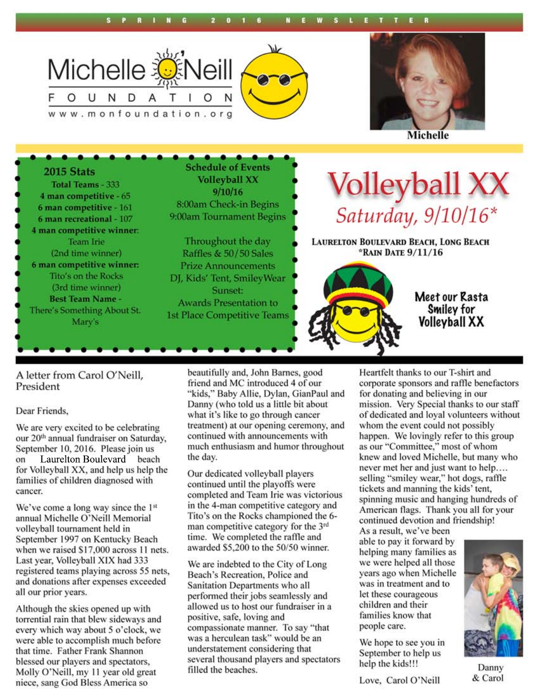





**Michelle** 

**Schedule of Events** 2015 Stats Volleyball XX<br>Saturday, 9/10/16\* **Volleyball XX** Total Teams - 333  $9/10/16$ 4 man competitive - 65 8:00am Check-in Begins 6 man competitive - 161 9:00am Tournament Begins 6 man recreational - 107 4 man competitive winner: Throughout the day **Team Irie LAURELTON BOULEVARD BEACH, LONG BEACH** \*RAIN DATE 9/11/16 (2nd time winner) Raffles & 50/50 Sales 6 man competitive winner: **Prize Announcements** Tito's on the Rocks DJ, Kids' Tent, Smiley Wear (3rd time winner) **Sunset:** Meet our Rasta **Best Team Name -Awards Presentation to** Smiley for There's Something About St. **1st Place Competitive Teams Volleyball XX** Mary's

A letter from Carol O'Neill, President

#### Dear Friends,

We are very excited to be celebrating our 20<sup>th</sup> annual fundraiser on Saturday, September 10, 2016. Please join us Laurelton Boulevard beach on for Volleyball XX, and help us help the families of children diagnosed with cancer.

We've come a long way since the 1<sup>st</sup> annual Michelle O'Neill Memorial volleyball tournament held in September 1997 on Kentucky Beach when we raised \$17,000 across 11 nets. Last year, Volleyball XIX had 333 registered teams playing across 55 nets, and donations after expenses exceeded all our prior years.

Although the skies opened up with torrential rain that blew sideways and every which way about 5 o'clock, we were able to accomplish much before that time. Father Frank Shannon blessed our players and spectators, Molly O'Neill, my 11 year old great niece, sang God Bless America so

beautifully and, John Barnes, good friend and MC introduced 4 of our "kids," Baby Allie, Dylan, GianPaul and Danny (who told us a little bit about what it's like to go through cancer treatment) at our opening ceremony, and continued with announcements with much enthusiasm and humor throughout the day.

Our dedicated volleyball players continued until the playoffs were completed and Team Irie was victorious in the 4-man competitive category and Tito's on the Rocks championed the 6man competitive category for the 3<sup>rd</sup> time. We completed the raffle and awarded \$5,200 to the 50/50 winner.

We are indebted to the City of Long Beach's Recreation, Police and Sanitation Departments who all performed their jobs seamlessly and allowed us to host our fundraiser in a positive, safe, loving and compassionate manner. To say "that was a herculean task" would be an understatement considering that several thousand players and spectators filled the beaches.

Heartfelt thanks to our T-shirt and corporate sponsors and raffle benefactors for donating and believing in our mission. Very Special thanks to our staff of dedicated and loyal volunteers without whom the event could not possibly happen. We lovingly refer to this group as our "Committee," most of whom knew and loved Michelle, but many who never met her and just want to help.... selling "smiley wear," hot dogs, raffle tickets and manning the kids' tent, spinning music and hanging hundreds of American flags. Thank you all for your continued devotion and friendship!

As a result, we've been able to pay it forward by helping many families as we were helped all those vears ago when Michelle was in treatment and to let these courageous children and their families know that people care.

We hope to see you in September to help us help the kids!!!

Love, Carol O'Neill



Danny & Carol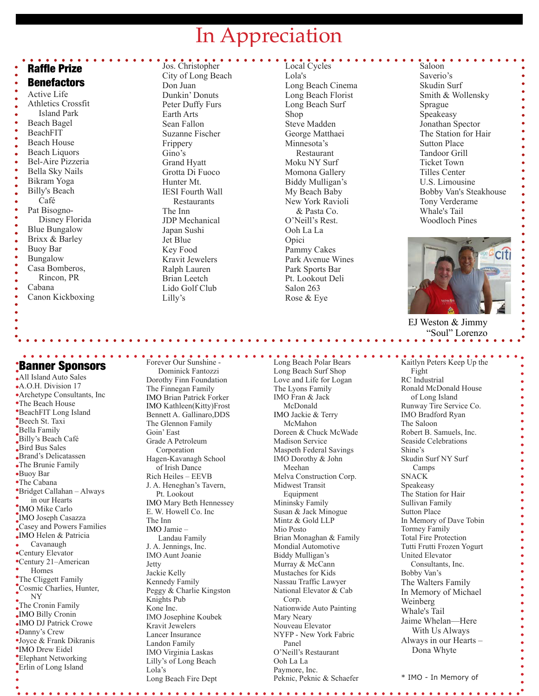## In Appreciation

#### Raffle Prize

#### **Benefactors**

Active Life Athletics Crossfit Island Park Beach Bagel BeachFIT Beach House Beach Liquors Bel-Aire Pizzeria Bella Sky Nails Bikram Yoga Billy's Beach Café Pat Bisogno- Disney Florida Blue Bungalow Brixx & Barley Buoy Bar Bungalow Casa Bomberos, Rincon, PR Cabana Canon Kickboxing

#### Jos. Christopher City of Long Beach Don Juan Dunkin' Donuts Peter Duffy Furs Earth Arts Sean Fallon Suzanne Fischer Frippery Gino's Grand Hyatt Grotta Di Fuoco Hunter Mt. IESI Fourth Wall Restaurants The Inn JDP Mechanical Japan Sushi Jet Blue Key Food Kravit Jewelers Ralph Lauren Brian Leetch Lido Golf Club Lilly's

Local Cycles Lola's Long Beach Cinema Long Beach Florist Long Beach Surf Shop Steve Madden George Matthaei Minnesota's Restaurant Moku NY Surf Momona Gallery Biddy Mulligan's My Beach Baby New York Ravioli & Pasta Co. O'Neill's Rest. Ooh La La Opici Pammy Cakes Park Avenue Wines Park Sports Bar Pt. Lookout Deli Salon 263 Rose & Eye

Saloon Saverio's Skudin Surf Smith & Wollensky Sprague Speakeasy Jonathan Spector The Station for Hair Sutton Place Tandoor Grill Ticket Town Tilles Center U.S. Limousine Bobby Van's Steakhouse Tony Verderame Whale's Tail Woodloch Pines



 EJ Weston & Jimmy "Soul" Lorenzo

Banner Sponsors

Į All Island Auto Sales A.O.H. Division 17 Archetype Consultants, Inc The Beach House BeachFIT Long Island Beech St. Taxi Bella Family Billy's Beach Café Bird Bus Sales Brand's Delicatassen The Brunie Family Buoy Bar The Cabana Bridget Callahan – Always in our Hearts IMO Mike Carlo IMO Joseph Casazza Casey and Powers Families IMO Helen & Patricia Cavanaugh Century Elevator Century 21–American Homes The Cliggett Family Cosmic Charlies, Hunter, NY  $\int_{0}^{\infty}$ The Cronin Family IMO Billy Cronin IMO DJ Patrick Crowe Danny's Crew Joyce & Frank Dikranis IMO Drew Eidel Elephant Networking Erlin of Long Island

. . . . . . . . . . . . . . . . . . .

Forever Our Sunshine - Dominick Fantozzi Dorothy Finn Foundation The Finnegan Family IMO Brian Patrick Forker IMO Kathleen(Kitty)Frost Bennett A. Gallinaro,DDS The Glennon Family Goin' East Grade A Petroleum Corporation Hagen-Kavanagh School of Irish Dance Rich Heiles – EEVB J. A. Heneghan's Tavern, Pt. Lookout IMO Mary Beth Hennessey E. W. Howell Co. Inc The Inn IMO Jamie – Landau Family J. A. Jennings, Inc. IMO Aunt Joanie Jetty Jackie Kelly Kennedy Family Peggy & Charlie Kingston Knights Pub Kone Inc. IMO Josephine Koubek Kravit Jewelers Lancer Insurance Landon Family IMO Virginia Laskas Lilly's of Long Beach Lola's Long Beach Fire Dept

Long Beach Surf Shop Love and Life for Logan The Lyons Family IMO Fran & Jack McDonald IMO Jackie & Terry McMahon Doreen & Chuck McWade Madison Service Maspeth Federal Savings IMO Dorothy & John Meehan Melva Construction Corp. Midwest Transit Equipment Mininsky Family Susan & Jack Minogue Mintz & Gold LLP Mio Posto Brian Monaghan & Family Mondial Automotive Biddy Mulligan's Murray & McCann Mustaches for Kids Nassau Traffic Lawyer National Elevator & Cab Corp. Nationwide Auto Painting Mary Neary Nouveau Elevator NYFP - New York Fabric Panel O'Neill's Restaurant Ooh La La Paymore, Inc. Peknic, Peknic & Schaefer

Long Beach Polar Bears

Kaitlyn Peters Keep Up the Fight RC Industrial Ronald McDonald House of Long Island Runway Tire Service Co. IMO Bradford Ryan The Saloon Robert B. Samuels, Inc. Seaside Celebrations Shine's Skudin Surf NY Surf Camps **SNACK** Speakeasy The Station for Hair Sullivan Family Sutton Place In Memory of Dave Tobin Tormey Family Total Fire Protection Tutti Frutti Frozen Yogurt United Elevator Consultants, Inc. Bobby Van's The Walters Family In Memory of Michael Weinberg Whale's Tail Jaime Whelan—Here With Us Always Always in our Hearts – Dona Whyte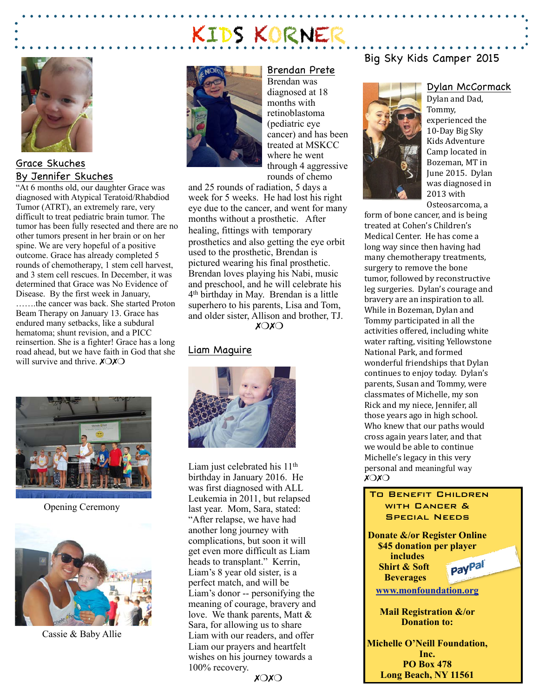# KIDS KORNER



## Grace Skuches By Jennifer Skuches

"At 6 months old, our daughter Grace was diagnosed with Atypical Teratoid/Rhabdiod Tumor (ATRT), an extremely rare, very difficult to treat pediatric brain tumor. The tumor has been fully resected and there are no other tumors present in her brain or on her spine. We are very hopeful of a positive outcome. Grace has already completed 5 rounds of chemotherapy, 1 stem cell harvest, and 3 stem cell rescues. In December, it was determined that Grace was No Evidence of Disease. By the first week in January,

…….the cancer was back. She started Proton Beam Therapy on January 13. Grace has endured many setbacks, like a subdural hematoma; shunt revision, and a PICC reinsertion. She is a fighter! Grace has a long road ahead, but we have faith in God that she will survive and thrive.  $X\bigcirc X\bigcirc$ 



Opening Ceremony



Cassie & Baby Allie



Brendan Prete Brendan was diagnosed at 18 months with retinoblastoma (pediatric eye cancer) and has been treated at MSKCC where he went through 4 aggressive rounds of chemo

and 25 rounds of radiation, 5 days a week for 5 weeks. He had lost his right eye due to the cancer, and went for many months without a prosthetic. After healing, fittings with temporary prosthetics and also getting the eye orbit used to the prosthetic, Brendan is pictured wearing his final prosthetic. Brendan loves playing his Nabi, music and preschool, and he will celebrate his 4th birthday in May. Brendan is a little superhero to his parents, Lisa and Tom, and older sister, Allison and brother, TJ. ✗❍✗❍

#### Liam Maguire



Liam just celebrated his 11<sup>th</sup> birthday in January 2016. He was first diagnosed with ALL Leukemia in 2011, but relapsed last year. Mom, Sara, stated: "After relapse, we have had another long journey with complications, but soon it will get even more difficult as Liam heads to transplant." Kerrin, Liam's 8 year old sister, is a perfect match, and will be Liam's donor -- personifying the meaning of courage, bravery and love. We thank parents, Matt & Sara, for allowing us to share Liam with our readers, and offer Liam our prayers and heartfelt wishes on his journey towards a 100% recovery.

#### ✗❍✗❍

## Big Sky Kids Camper 2015



Dylan and Dad, Tommy, experienced the 10-Day Big Sky Kids Adventure Camp located in Bozeman, MT in June 2015. Dylan was diagnosed in 2013 with Osteosarcoma, a

Dylan McCormack

form of bone cancer, and is being treated at Cohen's Children's Medical Center. He has come a long way since then having had many chemotherapy treatments, surgery to remove the bone tumor, followed by reconstructive leg surgeries. Dylan's courage and bravery are an inspiration to all. While in Bozeman, Dylan and Tommy participated in all the activities offered, including white water rafting, visiting Yellowstone National Park, and formed wonderful friendships that Dylan continues to enjoy today. Dylan's parents, Susan and Tommy, were classmates of Michelle, my son Rick and my niece, Jennifer, all those years ago in high school. Who knew that our paths would cross again years later, and that we would be able to continue Michelle's legacy in this very personal and meaningful way ✗❍✗❍